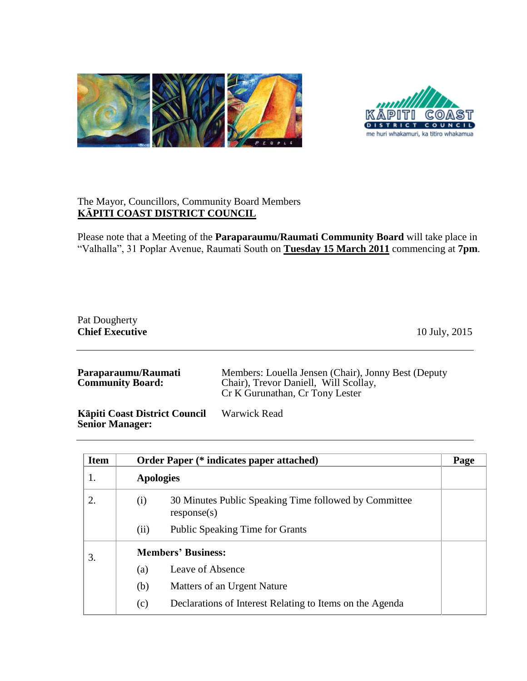



## The Mayor, Councillors, Community Board Members **KĀPITI COAST DISTRICT COUNCIL**

Please note that a Meeting of the **Paraparaumu/Raumati Community Board** will take place in "Valhalla", 31 Poplar Avenue, Raumati South on **Tuesday 15 March 2011** commencing at **7pm**.

## Pat Dougherty **Chief Executive** 10 July, 2015

| Cr K Gurunathan, Cr Tony Lester |
|---------------------------------|
|---------------------------------|

**Kāpiti Coast District Council Senior Manager:** Warwick Read

| <b>Item</b> |                  | <b>Order Paper (* indicates paper attached)</b>                      | Page |
|-------------|------------------|----------------------------------------------------------------------|------|
| 1.          | <b>Apologies</b> |                                                                      |      |
| 2.          | (i)              | 30 Minutes Public Speaking Time followed by Committee<br>response(s) |      |
|             | (ii)             | <b>Public Speaking Time for Grants</b>                               |      |
| 3.          |                  | <b>Members' Business:</b>                                            |      |
|             | (a)              | Leave of Absence                                                     |      |
|             | (b)              | Matters of an Urgent Nature                                          |      |
|             | (c)              | Declarations of Interest Relating to Items on the Agenda             |      |